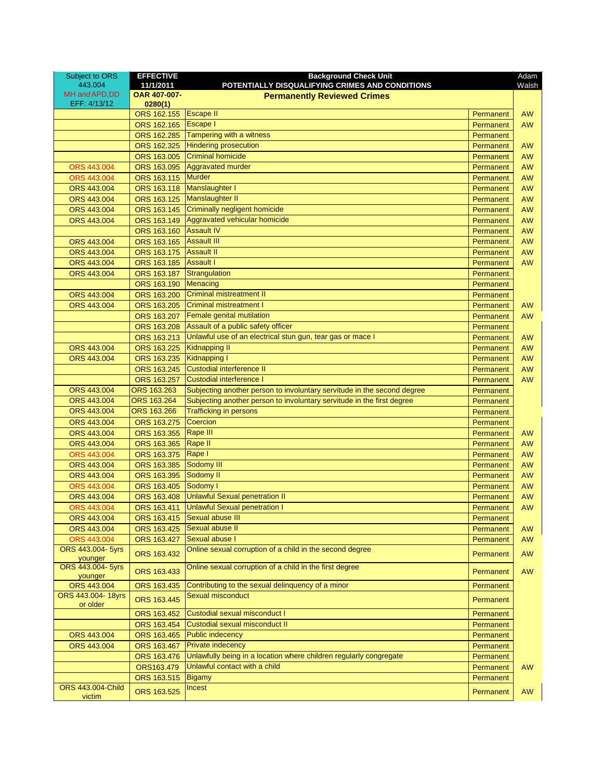| Subject to ORS<br>443.004    | <b>EFFECTIVE</b><br>11/1/2011 | <b>Background Check Unit</b><br>POTENTIALLY DISQUALIFYING CRIMES AND CONDITIONS |           | Adam<br>Walsh |
|------------------------------|-------------------------------|---------------------------------------------------------------------------------|-----------|---------------|
| MH and APD, DD               | OAR 407-007-                  | <b>Permanently Reviewed Crimes</b>                                              |           |               |
| EFF: 4/13/12                 | 0280(1)                       |                                                                                 |           |               |
|                              | ORS 162.155                   | <b>Escape II</b>                                                                | Permanent | <b>AW</b>     |
|                              | ORS 162,165                   | <b>Escape I</b>                                                                 | Permanent | <b>AW</b>     |
|                              | ORS 162,285                   | Tampering with a witness                                                        | Permanent |               |
|                              | ORS 162.325                   | <b>Hindering prosecution</b>                                                    | Permanent | <b>AW</b>     |
|                              | ORS 163.005                   | <b>Criminal homicide</b>                                                        | Permanent | <b>AW</b>     |
| ORS 443.004                  | ORS 163.095                   | <b>Aggravated murder</b>                                                        | Permanent | <b>AW</b>     |
| ORS 443.004                  | ORS 163.115                   | <b>Murder</b>                                                                   | Permanent | <b>AW</b>     |
| ORS 443,004                  | ORS 163.118                   | Manslaughter I                                                                  | Permanent | <b>AW</b>     |
| ORS 443.004                  | ORS 163.125                   | Manslaughter II                                                                 | Permanent | <b>AW</b>     |
| ORS 443.004                  | ORS 163.145                   | Criminally negligent homicide                                                   | Permanent | <b>AW</b>     |
| ORS 443.004                  | ORS 163.149                   | Aggravated vehicular homicide                                                   | Permanent | <b>AW</b>     |
|                              | ORS 163.160                   | <b>Assault IV</b>                                                               | Permanent | <b>AW</b>     |
| ORS 443.004                  | ORS 163.165                   | <b>Assault III</b>                                                              | Permanent | <b>AW</b>     |
| ORS 443.004                  | ORS 163.175                   | <b>Assault II</b>                                                               | Permanent | <b>AW</b>     |
| ORS 443.004                  | ORS 163.185                   | <b>Assault I</b>                                                                | Permanent | <b>AW</b>     |
| ORS 443.004                  | ORS 163.187                   | Strangulation                                                                   | Permanent |               |
|                              | ORS 163.190                   | Menacing                                                                        | Permanent |               |
| ORS 443.004                  | ORS 163.200                   | <b>Criminal mistreatment II</b>                                                 | Permanent |               |
| ORS 443.004                  | ORS 163.205                   | <b>Criminal mistreatment I</b>                                                  | Permanent | <b>AW</b>     |
|                              | ORS 163.207                   | Female genital mutilation                                                       | Permanent | <b>AW</b>     |
|                              | ORS 163.208                   | Assault of a public safety officer                                              | Permanent |               |
|                              | ORS 163.213                   | Unlawful use of an electrical stun gun, tear gas or mace I                      | Permanent | <b>AW</b>     |
| ORS 443.004                  | ORS 163.225                   | <b>Kidnapping II</b>                                                            | Permanent | <b>AW</b>     |
| ORS 443.004                  | ORS 163.235                   | <b>Kidnapping I</b>                                                             | Permanent | <b>AW</b>     |
|                              | ORS 163.245                   | Custodial interference II                                                       | Permanent | <b>AW</b>     |
|                              | ORS 163.257                   | Custodial interference I                                                        | Permanent | <b>AW</b>     |
| ORS 443.004                  | ORS 163.263                   | Subjecting another person to involuntary servitude in the second degree         | Permanent |               |
| ORS 443.004                  | ORS 163.264                   | Subjecting another person to involuntary servitude in the first degree          | Permanent |               |
| ORS 443.004                  | ORS 163.266                   | <b>Trafficking in persons</b>                                                   | Permanent |               |
| ORS 443.004                  | ORS 163.275                   | Coercion                                                                        | Permanent |               |
| ORS 443.004                  | ORS 163.355                   | Rape III                                                                        | Permanent | <b>AW</b>     |
| ORS 443.004                  | ORS 163.365                   | Rape II                                                                         | Permanent | <b>AW</b>     |
| ORS 443.004                  | ORS 163.375                   | Rape I                                                                          | Permanent | <b>AW</b>     |
| ORS 443,004                  | ORS 163.385                   | Sodomy III                                                                      | Permanent | <b>AW</b>     |
| ORS 443.004                  | ORS 163.395                   | Sodomy II                                                                       | Permanent | <b>AW</b>     |
| ORS 443.004                  | ORS 163.405                   | Sodomy I                                                                        | Permanent | <b>AW</b>     |
| ORS 443.004                  | ORS 163.408                   | <b>Unlawful Sexual penetration II</b>                                           | Permanent | <b>AW</b>     |
| ORS 443.004                  | ORS 163.411                   | <b>Unlawful Sexual penetration I</b>                                            | Permanent | <b>AW</b>     |
| ORS 443.004                  | ORS 163.415                   | Sexual abuse III                                                                | Permanent |               |
| ORS 443.004                  | ORS 163.425                   | Sexual abuse II                                                                 | Permanent | <b>AW</b>     |
| ORS 443.004                  | ORS 163.427                   | Sexual abuse I                                                                  | Permanent | AW            |
| ORS 443.004- 5yrs            | ORS 163.432                   | Online sexual corruption of a child in the second degree                        | Permanent | <b>AW</b>     |
| younger<br>ORS 443.004- 5yrs |                               | Online sexual corruption of a child in the first degree                         |           |               |
| younger                      | ORS 163.433                   |                                                                                 | Permanent | <b>AW</b>     |
| ORS 443.004                  | ORS 163.435                   | Contributing to the sexual delinquency of a minor                               | Permanent |               |
| ORS 443.004-18yrs            | ORS 163.445                   | Sexual misconduct                                                               | Permanent |               |
| or older                     |                               |                                                                                 |           |               |
|                              | ORS 163.452                   | Custodial sexual misconduct I                                                   | Permanent |               |
|                              | ORS 163.454                   | Custodial sexual misconduct II                                                  | Permanent |               |
| ORS 443.004                  | ORS 163.465                   | <b>Public indecency</b>                                                         | Permanent |               |
| ORS 443.004                  | ORS 163.467                   | <b>Private indecency</b>                                                        | Permanent |               |
|                              | ORS 163.476                   | Unlawfully being in a location where children regularly congregate              | Permanent |               |
|                              | ORS163.479                    | Unlawful contact with a child                                                   | Permanent | <b>AW</b>     |
|                              | ORS 163.515                   | <b>Bigamy</b>                                                                   | Permanent |               |
| ORS 443.004-Child<br>victim  | ORS 163.525                   | Incest                                                                          | Permanent | <b>AW</b>     |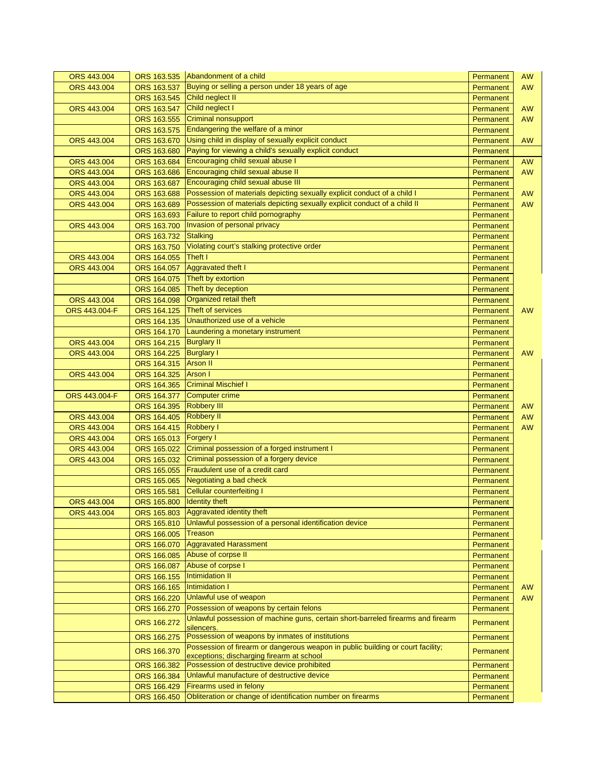| ORS 443.004   |                            | ORS 163.535 Abandonment of a child                                                             | Permanent | <b>AW</b> |
|---------------|----------------------------|------------------------------------------------------------------------------------------------|-----------|-----------|
| ORS 443.004   | ORS 163.537                | Buying or selling a person under 18 years of age                                               | Permanent | <b>AW</b> |
|               | ORS 163.545                | Child neglect II                                                                               | Permanent |           |
| ORS 443.004   | ORS 163.547                | Child neglect I                                                                                | Permanent | AW        |
|               | ORS 163.555                | <b>Criminal nonsupport</b>                                                                     | Permanent | <b>AW</b> |
|               | ORS 163.575                | Endangering the welfare of a minor                                                             | Permanent |           |
| ORS 443.004   | ORS 163.670                | Using child in display of sexually explicit conduct                                            | Permanent | <b>AW</b> |
|               | ORS 163.680                | Paying for viewing a child's sexually explicit conduct                                         | Permanent |           |
| ORS 443.004   | ORS 163.684                | Encouraging child sexual abuse I                                                               | Permanent | <b>AW</b> |
| ORS 443.004   | ORS 163.686                | Encouraging child sexual abuse II                                                              | Permanent | AW        |
| ORS 443.004   | ORS 163.687                | Encouraging child sexual abuse III                                                             | Permanent |           |
| ORS 443,004   | ORS 163.688                | Possession of materials depicting sexually explicit conduct of a child I                       | Permanent | <b>AW</b> |
| ORS 443.004   | ORS 163.689                | Possession of materials depicting sexually explicit conduct of a child II                      | Permanent | <b>AW</b> |
|               | ORS 163.693                | Failure to report child pornography                                                            | Permanent |           |
| ORS 443.004   | ORS 163.700                | Invasion of personal privacy                                                                   | Permanent |           |
|               | ORS 163.732                | <b>Stalking</b>                                                                                | Permanent |           |
|               | ORS 163.750                | Violating court's stalking protective order                                                    | Permanent |           |
| ORS 443.004   | ORS 164.055                | Theft I                                                                                        | Permanent |           |
| ORS 443.004   | ORS 164.057                | <b>Aggravated theft I</b>                                                                      | Permanent |           |
|               | ORS 164.075                | Theft by extortion                                                                             | Permanent |           |
|               | ORS 164.085                | Theft by deception                                                                             | Permanent |           |
| ORS 443.004   | ORS 164.098                | Organized retail theft                                                                         | Permanent |           |
| ORS 443.004-F | ORS 164.125                | Theft of services                                                                              | Permanent | <b>AW</b> |
|               | ORS 164.135                | Unauthorized use of a vehicle                                                                  | Permanent |           |
|               | ORS 164.170                | Laundering a monetary instrument                                                               | Permanent |           |
| ORS 443.004   | ORS 164.215                | <b>Burglary II</b>                                                                             | Permanent |           |
| ORS 443.004   | ORS 164.225                | <b>Burglary I</b>                                                                              | Permanent | <b>AW</b> |
|               | ORS 164.315                | <b>Arson II</b>                                                                                | Permanent |           |
| ORS 443.004   | ORS 164.325                | Arson I                                                                                        | Permanent |           |
|               | ORS 164.365                | <b>Criminal Mischief I</b>                                                                     | Permanent |           |
| ORS 443.004-F | ORS 164.377                | <b>Computer crime</b>                                                                          | Permanent |           |
|               | ORS 164.395                | <b>Robbery III</b>                                                                             | Permanent | <b>AW</b> |
| ORS 443.004   | ORS 164.405                | <b>Robbery II</b>                                                                              | Permanent | <b>AW</b> |
| ORS 443.004   | ORS 164.415                | Robbery I                                                                                      | Permanent | <b>AW</b> |
| ORS 443.004   | ORS 165.013                | <b>Forgery I</b>                                                                               | Permanent |           |
| ORS 443.004   | ORS 165.022                | Criminal possession of a forged instrument I                                                   | Permanent |           |
| ORS 443.004   | ORS 165.032                | Criminal possession of a forgery device                                                        | Permanent |           |
|               | ORS 165.055                | Fraudulent use of a credit card                                                                | Permanent |           |
|               | ORS 165.065                | Negotiating a bad check                                                                        | Permanent |           |
|               | ORS 165.581                | <b>Cellular counterfeiting I</b>                                                               | Permanent |           |
| ORS 443.004   | ORS 165.800 Identity theft |                                                                                                | Permanent |           |
| ORS 443.004   |                            | ORS 165.803 Aggravated identity theft                                                          | Permanent |           |
|               | ORS 165.810                | Unlawful possession of a personal identification device                                        | Permanent |           |
|               | ORS 166.005                | Treason                                                                                        | Permanent |           |
|               |                            | ORS 166.070 Aggravated Harassment                                                              | Permanent |           |
|               | ORS 166.085                | Abuse of corpse II                                                                             | Permanent |           |
|               | ORS 166.087                | Abuse of corpse I                                                                              | Permanent |           |
|               | ORS 166.155                | Intimidation II                                                                                | Permanent |           |
|               | ORS 166.165                | Intimidation I                                                                                 | Permanent | <b>AW</b> |
|               | ORS 166.220                | Unlawful use of weapon                                                                         | Permanent | <b>AW</b> |
|               | ORS 166.270                | Possession of weapons by certain felons                                                        | Permanent |           |
|               | ORS 166.272                | Unlawful possession of machine guns, certain short-barreled firearms and firearm<br>silencers. | Permanent |           |
|               | ORS 166.275                | Possession of weapons by inmates of institutions                                               | Permanent |           |
|               | ORS 166.370                | Possession of firearm or dangerous weapon in public building or court facility;                | Permanent |           |
|               |                            | exceptions; discharging firearm at school                                                      |           |           |
|               | ORS 166.382                | Possession of destructive device prohibited                                                    | Permanent |           |
|               | ORS 166.384                | Unlawful manufacture of destructive device                                                     | Permanent |           |
|               | ORS 166.429                | Firearms used in felony                                                                        | Permanent |           |
|               | ORS 166.450                | Obliteration or change of identification number on firearms                                    | Permanent |           |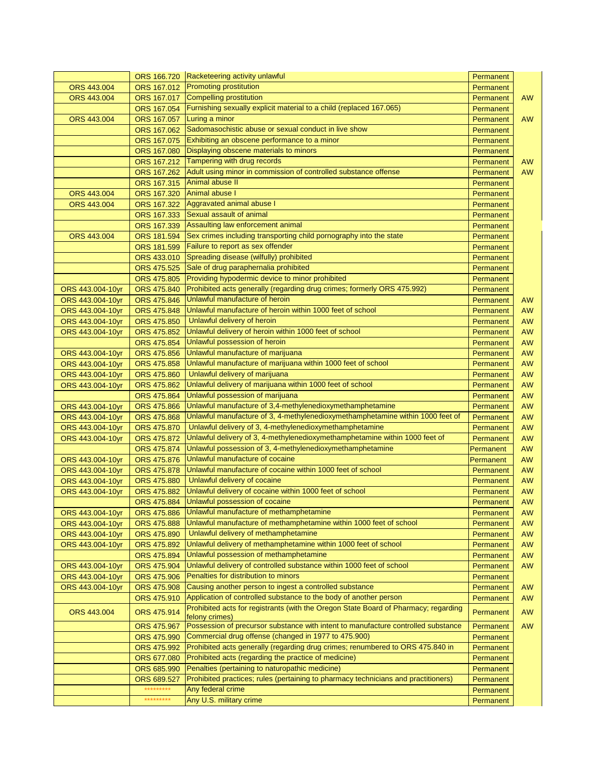|                  | ORS 166.720 | Racketeering activity unlawful                                                                        | Permanent |           |
|------------------|-------------|-------------------------------------------------------------------------------------------------------|-----------|-----------|
| ORS 443.004      | ORS 167.012 | <b>Promoting prostitution</b>                                                                         | Permanent |           |
| ORS 443.004      | ORS 167,017 | Compelling prostitution                                                                               | Permanent | <b>AW</b> |
|                  | ORS 167.054 | Furnishing sexually explicit material to a child (replaced 167.065)                                   | Permanent |           |
| ORS 443.004      | ORS 167.057 | Luring a minor                                                                                        | Permanent | <b>AW</b> |
|                  | ORS 167.062 | Sadomasochistic abuse or sexual conduct in live show                                                  | Permanent |           |
|                  | ORS 167.075 | Exhibiting an obscene performance to a minor                                                          | Permanent |           |
|                  | ORS 167.080 | Displaying obscene materials to minors                                                                | Permanent |           |
|                  | ORS 167.212 | Tampering with drug records                                                                           | Permanent | <b>AW</b> |
|                  | ORS 167.262 | Adult using minor in commission of controlled substance offense                                       | Permanent | <b>AW</b> |
|                  | ORS 167.315 | Animal abuse II                                                                                       | Permanent |           |
| ORS 443.004      | ORS 167.320 | Animal abuse                                                                                          | Permanent |           |
| ORS 443.004      | ORS 167.322 | Aggravated animal abuse I                                                                             | Permanent |           |
|                  | ORS 167.333 | Sexual assault of animal                                                                              | Permanent |           |
|                  | ORS 167.339 | Assaulting law enforcement animal                                                                     | Permanent |           |
| ORS 443.004      | ORS 181.594 | Sex crimes including transporting child pornography into the state                                    | Permanent |           |
|                  | ORS 181.599 | Failure to report as sex offender                                                                     | Permanent |           |
|                  | ORS 433.010 | Spreading disease (wilfully) prohibited                                                               | Permanent |           |
|                  | ORS 475.525 | Sale of drug paraphernalia prohibited                                                                 | Permanent |           |
|                  | ORS 475.805 | Providing hypodermic device to minor prohibited                                                       | Permanent |           |
| ORS 443.004-10yr | ORS 475.840 | Prohibited acts generally (regarding drug crimes; formerly ORS 475.992)                               | Permanent |           |
| ORS 443.004-10yr | ORS 475.846 | Unlawful manufacture of heroin                                                                        | Permanent | <b>AW</b> |
| ORS 443.004-10yr | ORS 475.848 | Unlawful manufacture of heroin within 1000 feet of school                                             | Permanent | <b>AW</b> |
|                  | ORS 475.850 | Unlawful delivery of heroin                                                                           | Permanent | AW        |
| ORS 443.004-10yr | ORS 475.852 | Unlawful delivery of heroin within 1000 feet of school                                                |           | <b>AW</b> |
| ORS 443.004-10yr |             | Unlawful possession of heroin                                                                         | Permanent |           |
|                  | ORS 475.854 |                                                                                                       | Permanent | <b>AW</b> |
| ORS 443.004-10yr | ORS 475.856 | Unlawful manufacture of marijuana                                                                     | Permanent | <b>AW</b> |
| ORS 443.004-10yr | ORS 475.858 | Unlawful manufacture of marijuana within 1000 feet of school                                          | Permanent | <b>AW</b> |
| ORS 443.004-10yr | ORS 475.860 | Unlawful delivery of marijuana                                                                        | Permanent | AW        |
| ORS 443.004-10yr | ORS 475.862 | Unlawful delivery of marijuana within 1000 feet of school                                             | Permanent | <b>AW</b> |
|                  | ORS 475.864 | Unlawful possession of marijuana                                                                      | Permanent | <b>AW</b> |
| ORS 443.004-10yr | ORS 475.866 | Unlawful manufacture of 3,4-methylenedioxymethamphetamine                                             | Permanent | <b>AW</b> |
| ORS 443.004-10yr | ORS 475.868 | Unlawful manufacture of 3, 4-methylenedioxymethamphetamine within 1000 feet of                        | Permanent | <b>AW</b> |
| ORS 443.004-10yr | ORS 475.870 | Unlawful delivery of 3, 4-methylenedioxymethamphetamine                                               | Permanent | AW        |
| ORS 443.004-10yr | ORS 475.872 | Unlawful delivery of 3, 4-methylenedioxymethamphetamine within 1000 feet of                           | Permanent | AW        |
|                  | ORS 475.874 | Unlawful possession of 3, 4-methylenedioxymethamphetamine                                             | Permanent | <b>AW</b> |
| ORS 443.004-10yr | ORS 475.876 | Unlawful manufacture of cocaine                                                                       | Permanent | <b>AW</b> |
| ORS 443.004-10yr | ORS 475.878 | Unlawful manufacture of cocaine within 1000 feet of school                                            | Permanent | <b>AW</b> |
| ORS 443.004-10yr | ORS 475.880 | Unlawful delivery of cocaine                                                                          | Permanent | AW        |
| ORS 443.004-10yr | ORS 475.882 | Unlawful delivery of cocaine within 1000 feet of school                                               | Permanent | AW        |
|                  | ORS 475.884 | Unlawful possession of cocaine                                                                        | Permanent | <b>AW</b> |
| ORS 443.004-10yr |             | ORS 475.886 Unlawful manufacture of methamphetamine                                                   | Permanent | AW        |
| ORS 443.004-10yr | ORS 475.888 | Unlawful manufacture of methamphetamine within 1000 feet of school                                    | Permanent | <b>AW</b> |
| ORS 443.004-10yr | ORS 475.890 | Unlawful delivery of methamphetamine                                                                  | Permanent | <b>AW</b> |
| ORS 443.004-10yr | ORS 475.892 | Unlawful delivery of methamphetamine within 1000 feet of school                                       | Permanent | AW        |
|                  | ORS 475.894 | Unlawful possession of methamphetamine                                                                | Permanent | AW        |
| ORS 443.004-10yr | ORS 475.904 | Unlawful delivery of controlled substance within 1000 feet of school                                  | Permanent | AW        |
| ORS 443.004-10yr | ORS 475.906 | Penalties for distribution to minors                                                                  | Permanent |           |
| ORS 443.004-10yr | ORS 475.908 | Causing another person to ingest a controlled substance                                               | Permanent | <b>AW</b> |
|                  | ORS 475.910 | Application of controlled substance to the body of another person                                     | Permanent | AW        |
| ORS 443.004      | ORS 475.914 | Prohibited acts for registrants (with the Oregon State Board of Pharmacy; regarding<br>felony crimes) | Permanent | AW        |
|                  | ORS 475.967 | Possession of precursor substance with intent to manufacture controlled substance                     | Permanent | <b>AW</b> |
|                  | ORS 475.990 | Commercial drug offense (changed in 1977 to 475.900)                                                  | Permanent |           |
|                  | ORS 475.992 | Prohibited acts generally (regarding drug crimes; renumbered to ORS 475.840 in                        | Permanent |           |
|                  | ORS 677.080 | Prohibited acts (regarding the practice of medicine)                                                  | Permanent |           |
|                  | ORS 685.990 | Penalties (pertaining to naturopathic medicine)                                                       | Permanent |           |
|                  | ORS 689.527 | Prohibited practices; rules (pertaining to pharmacy technicians and practitioners)                    | Permanent |           |
|                  | *********   | Any federal crime                                                                                     | Permanent |           |
|                  | *********   | Any U.S. military crime                                                                               | Permanent |           |
|                  |             |                                                                                                       |           |           |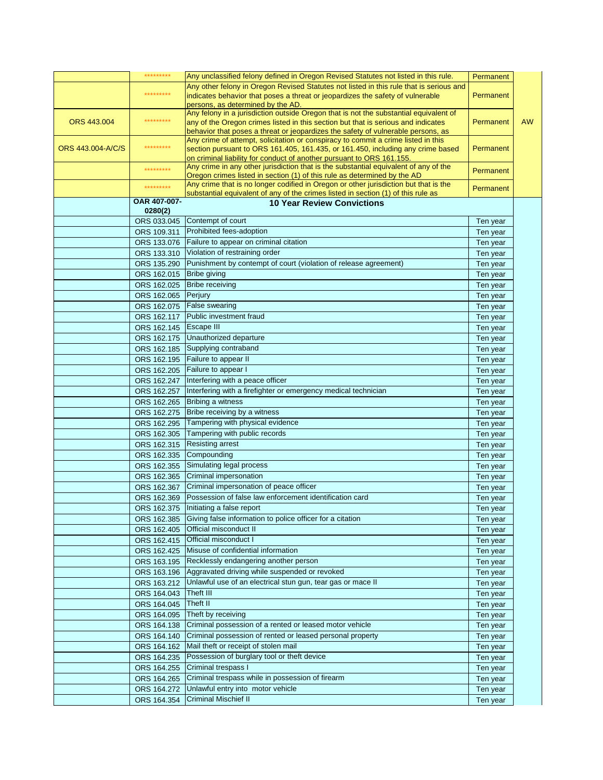|                   | *********                  | Any unclassified felony defined in Oregon Revised Statutes not listed in this rule.                                                                                   | Permanent |           |
|-------------------|----------------------------|-----------------------------------------------------------------------------------------------------------------------------------------------------------------------|-----------|-----------|
|                   |                            | Any other felony in Oregon Revised Statutes not listed in this rule that is serious and                                                                               |           |           |
|                   | *********                  | indicates behavior that poses a threat or jeopardizes the safety of vulnerable                                                                                        | Permanent |           |
|                   |                            | persons, as determined by the AD.                                                                                                                                     |           |           |
|                   | *********                  | Any felony in a jurisdiction outside Oregon that is not the substantial equivalent of                                                                                 |           |           |
| ORS 443.004       |                            | any of the Oregon crimes listed in this section but that is serious and indicates                                                                                     | Permanent | <b>AW</b> |
|                   |                            | behavior that poses a threat or jeopardizes the safety of vulnerable persons, as<br>Any crime of attempt, solicitation or conspiracy to commit a crime listed in this |           |           |
| ORS 443.004-A/C/S | *********                  | section pursuant to ORS 161.405, 161.435, or 161.450, including any crime based                                                                                       | Permanent |           |
|                   |                            | on criminal liability for conduct of another pursuant to ORS 161.155.                                                                                                 |           |           |
|                   | *********                  | Any crime in any other jurisdiction that is the substantial equivalent of any of the                                                                                  | Permanent |           |
|                   |                            | Oregon crimes listed in section (1) of this rule as determined by the AD                                                                                              |           |           |
|                   | *********                  | Any crime that is no longer codified in Oregon or other jurisdiction but that is the                                                                                  | Permanent |           |
|                   | OAR 407-007-               | substantial equivalent of any of the crimes listed in section (1) of this rule as<br><b>10 Year Review Convictions</b>                                                |           |           |
|                   | 0280(2)                    |                                                                                                                                                                       |           |           |
|                   | ORS 033.045                | Contempt of court                                                                                                                                                     | Ten year  |           |
|                   | ORS 109.311                | Prohibited fees-adoption                                                                                                                                              | Ten year  |           |
|                   | ORS 133.076                | Failure to appear on criminal citation                                                                                                                                | Ten year  |           |
|                   | ORS 133.310                | Violation of restraining order                                                                                                                                        |           |           |
|                   | ORS 135.290                | Punishment by contempt of court (violation of release agreement)                                                                                                      | Ten year  |           |
|                   | ORS 162.015                | <b>Bribe giving</b>                                                                                                                                                   | Ten year  |           |
|                   |                            | <b>Bribe receiving</b>                                                                                                                                                | Ten year  |           |
|                   | ORS 162.025                |                                                                                                                                                                       | Ten year  |           |
|                   | ORS 162.065                | Perjury                                                                                                                                                               | Ten year  |           |
|                   | ORS 162.075                | <b>False swearing</b>                                                                                                                                                 | Ten year  |           |
|                   | ORS 162.117                | Public investment fraud                                                                                                                                               | Ten year  |           |
|                   | ORS 162.145                | Escape III                                                                                                                                                            | Ten year  |           |
|                   | ORS 162.175                | Unauthorized departure                                                                                                                                                | Ten year  |           |
|                   | ORS 162.185                | Supplying contraband                                                                                                                                                  | Ten year  |           |
|                   | ORS 162.195                | Failure to appear II                                                                                                                                                  | Ten year  |           |
|                   | ORS 162.205                | Failure to appear I                                                                                                                                                   | Ten year  |           |
|                   | ORS 162.247                | Interfering with a peace officer                                                                                                                                      | Ten year  |           |
|                   | ORS 162.257                | Interfering with a firefighter or emergency medical technician                                                                                                        | Ten year  |           |
|                   | ORS 162.265                | Bribing a witness                                                                                                                                                     | Ten year  |           |
|                   | ORS 162.275                | Bribe receiving by a witness                                                                                                                                          | Ten year  |           |
|                   | ORS 162.295                | Tampering with physical evidence                                                                                                                                      | Ten year  |           |
|                   | ORS 162.305                | Tampering with public records                                                                                                                                         | Ten year  |           |
|                   | ORS 162.315                | <b>Resisting arrest</b>                                                                                                                                               | Ten year  |           |
|                   | ORS 162.335                | Compounding                                                                                                                                                           | Ten year  |           |
|                   | ORS 162.355                | Simulating legal process                                                                                                                                              | Ten year  |           |
|                   | ORS 162.365                | Criminal impersonation                                                                                                                                                | Ten year  |           |
|                   | ORS 162.367                | Criminal impersonation of peace officer                                                                                                                               | Ten year  |           |
|                   | ORS 162.369                | Possession of false law enforcement identification card                                                                                                               | Ten year  |           |
|                   |                            | ORS 162.375 Initiating a false report                                                                                                                                 | Ten year  |           |
|                   | ORS 162.385                | Giving false information to police officer for a citation                                                                                                             | Ten year  |           |
|                   | ORS 162.405                | Official misconduct II                                                                                                                                                | Ten year  |           |
|                   | ORS 162.415                | Official misconduct I                                                                                                                                                 | Ten year  |           |
|                   | ORS 162.425                | Misuse of confidential information                                                                                                                                    | Ten year  |           |
|                   | ORS 163.195                | Recklessly endangering another person                                                                                                                                 | Ten year  |           |
|                   | ORS 163.196                | Aggravated driving while suspended or revoked                                                                                                                         | Ten year  |           |
|                   | ORS 163.212                | Unlawful use of an electrical stun gun, tear gas or mace II                                                                                                           | Ten year  |           |
|                   | ORS 164.043                | Theft III                                                                                                                                                             | Ten year  |           |
|                   | ORS 164.045                | Theft II                                                                                                                                                              | Ten year  |           |
|                   | ORS 164.095                | Theft by receiving                                                                                                                                                    | Ten year  |           |
|                   | ORS 164.138                | Criminal possession of a rented or leased motor vehicle                                                                                                               |           |           |
|                   |                            | Criminal possession of rented or leased personal property                                                                                                             | Ten year  |           |
|                   | ORS 164.140<br>ORS 164.162 | Mail theft or receipt of stolen mail                                                                                                                                  | Ten year  |           |
|                   |                            |                                                                                                                                                                       | Ten year  |           |
|                   | ORS 164.235                | Possession of burglary tool or theft device                                                                                                                           | Ten year  |           |
|                   | ORS 164.255                | Criminal trespass I                                                                                                                                                   | Ten year  |           |
|                   | ORS 164.265                | Criminal trespass while in possession of firearm                                                                                                                      | Ten year  |           |
|                   | ORS 164.272                | Unlawful entry into motor vehicle                                                                                                                                     | Ten year  |           |
|                   | ORS 164.354                | <b>Criminal Mischief II</b>                                                                                                                                           | Ten year  |           |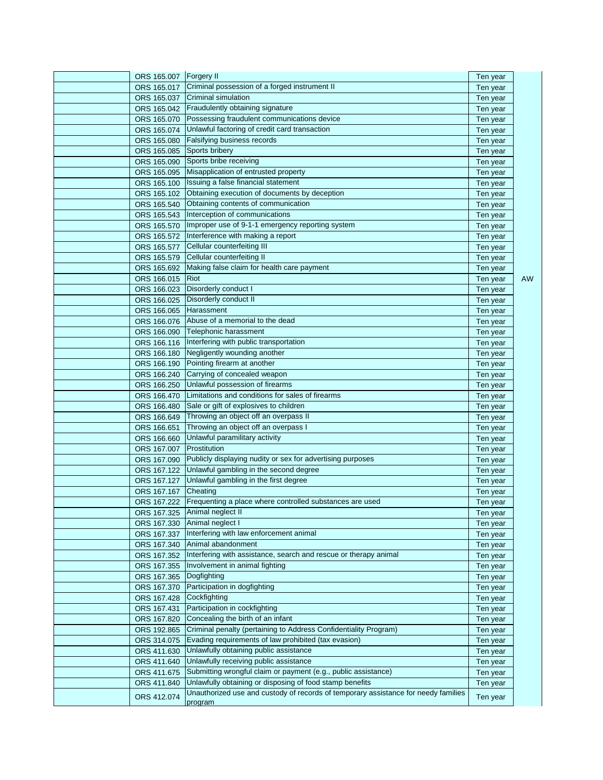| ORS 165.007 Forgery II |                                                                                    | Ten year |     |
|------------------------|------------------------------------------------------------------------------------|----------|-----|
| ORS 165.017            | Criminal possession of a forged instrument II                                      | Ten year |     |
| ORS 165.037            | Criminal simulation                                                                | Ten year |     |
| ORS 165.042            | Fraudulently obtaining signature                                                   | Ten year |     |
| ORS 165.070            | Possessing fraudulent communications device                                        | Ten year |     |
| ORS 165.074            | Unlawful factoring of credit card transaction                                      | Ten year |     |
| ORS 165.080            | Falsifying business records                                                        | Ten year |     |
| ORS 165.085            | Sports bribery                                                                     | Ten year |     |
| ORS 165.090            | Sports bribe receiving                                                             | Ten year |     |
| ORS 165.095            | Misapplication of entrusted property                                               | Ten year |     |
| ORS 165.100            | Issuing a false financial statement                                                | Ten year |     |
| ORS 165.102            | Obtaining execution of documents by deception                                      | Ten year |     |
| ORS 165.540            | Obtaining contents of communication                                                | Ten year |     |
| ORS 165.543            | Interception of communications                                                     | Ten year |     |
| ORS 165.570            | Improper use of 9-1-1 emergency reporting system                                   | Ten year |     |
| ORS 165.572            | Interference with making a report                                                  | Ten year |     |
| ORS 165.577            | Cellular counterfeiting III                                                        | Ten year |     |
| ORS 165.579            | Cellular counterfeiting II                                                         | Ten year |     |
| ORS 165.692            | Making false claim for health care payment                                         | Ten year |     |
| ORS 166.015            | Riot                                                                               | Ten year | AW. |
| ORS 166.023            | Disorderly conduct I                                                               | Ten year |     |
| ORS 166.025            | Disorderly conduct II                                                              | Ten year |     |
| ORS 166,065            | Harassment                                                                         | Ten year |     |
| ORS 166.076            | Abuse of a memorial to the dead                                                    | Ten year |     |
| ORS 166.090            | Telephonic harassment                                                              | Ten year |     |
| ORS 166.116            | Interfering with public transportation                                             | Ten year |     |
| ORS 166.180            | Negligently wounding another                                                       | Ten year |     |
| ORS 166.190            | Pointing firearm at another                                                        | Ten year |     |
| ORS 166.240            | Carrying of concealed weapon                                                       | Ten year |     |
| ORS 166.250            | Unlawful possession of firearms                                                    | Ten year |     |
| ORS 166.470            | Limitations and conditions for sales of firearms                                   | Ten year |     |
| ORS 166.480            | Sale or gift of explosives to children                                             | Ten year |     |
| ORS 166.649            | Throwing an object off an overpass II                                              | Ten year |     |
| ORS 166.651            | Throwing an object off an overpass I                                               | Ten year |     |
| ORS 166.660            | Unlawful paramilitary activity                                                     | Ten year |     |
| ORS 167.007            | Prostitution                                                                       | Ten year |     |
| ORS 167.090            | Publicly displaying nudity or sex for advertising purposes                         | Ten year |     |
| ORS 167.122            | Unlawful gambling in the second degree                                             | Ten year |     |
| ORS 167.127            | Unlawful gambling in the first degree                                              | Ten year |     |
| ORS 167.167            | Cheating                                                                           | Ten year |     |
|                        | ORS 167.222 Frequenting a place where controlled substances are used               | Ten year |     |
|                        | ORS 167.325 Animal neglect II                                                      | Ten year |     |
|                        | ORS 167.330 Animal neglect I                                                       | Ten year |     |
| ORS 167.337            | Interfering with law enforcement animal                                            | Ten year |     |
| ORS 167.340            | Animal abandonment                                                                 | Ten year |     |
| ORS 167.352            | Interfering with assistance, search and rescue or therapy animal                   | Ten year |     |
| ORS 167.355            | Involvement in animal fighting                                                     | Ten year |     |
| ORS 167.365            | Dogfighting                                                                        | Ten year |     |
| ORS 167.370            | Participation in dogfighting                                                       | Ten year |     |
| ORS 167.428            | Cockfighting                                                                       | Ten year |     |
| ORS 167.431            | Participation in cockfighting                                                      | Ten year |     |
| ORS 167.820            | Concealing the birth of an infant                                                  | Ten year |     |
| ORS 192.865            | Criminal penalty (pertaining to Address Confidentiality Program)                   | Ten year |     |
| ORS 314.075            | Evading requirements of law prohibited (tax evasion)                               | Ten year |     |
| ORS 411.630            | Unlawfully obtaining public assistance                                             | Ten year |     |
| ORS 411.640            | Unlawfully receiving public assistance                                             | Ten year |     |
| ORS 411.675            | Submitting wrongful claim or payment (e.g., public assistance)                     | Ten year |     |
| ORS 411.840            | Unlawfully obtaining or disposing of food stamp benefits                           | Ten year |     |
|                        | Unauthorized use and custody of records of temporary assistance for needy families |          |     |
| ORS 412.074            | program                                                                            | Ten year |     |
|                        |                                                                                    |          |     |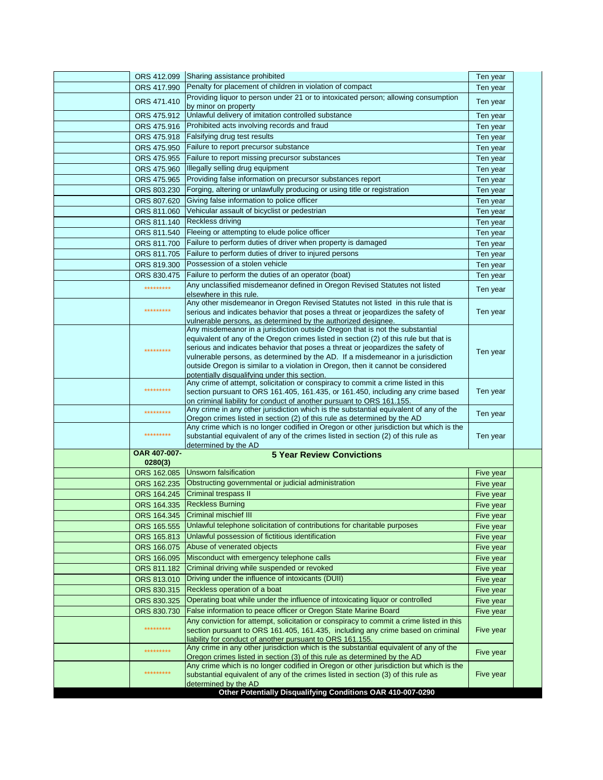|              | ORS 412.099 Sharing assistance prohibited                                                                                                                             | Ten year  |  |
|--------------|-----------------------------------------------------------------------------------------------------------------------------------------------------------------------|-----------|--|
| ORS 417.990  | Penalty for placement of children in violation of compact                                                                                                             | Ten year  |  |
| ORS 471.410  | Providing liquor to person under 21 or to intoxicated person; allowing consumption<br>by minor on property                                                            | Ten year  |  |
| ORS 475.912  | Unlawful delivery of imitation controlled substance                                                                                                                   | Ten year  |  |
| ORS 475.916  | Prohibited acts involving records and fraud                                                                                                                           | Ten year  |  |
| ORS 475.918  | Falsifying drug test results                                                                                                                                          | Ten year  |  |
| ORS 475.950  | Failure to report precursor substance                                                                                                                                 | Ten year  |  |
| ORS 475.955  | Failure to report missing precursor substances                                                                                                                        | Ten year  |  |
| ORS 475.960  | Illegally selling drug equipment                                                                                                                                      | Ten year  |  |
| ORS 475.965  | Providing false information on precursor substances report                                                                                                            | Ten year  |  |
| ORS 803.230  | Forging, altering or unlawfully producing or using title or registration                                                                                              | Ten year  |  |
| ORS 807.620  | Giving false information to police officer                                                                                                                            | Ten year  |  |
| ORS 811.060  | Vehicular assault of bicyclist or pedestrian                                                                                                                          | Ten year  |  |
| ORS 811.140  | <b>Reckless driving</b>                                                                                                                                               | Ten year  |  |
| ORS 811.540  | Fleeing or attempting to elude police officer                                                                                                                         | Ten year  |  |
| ORS 811.700  | Failure to perform duties of driver when property is damaged                                                                                                          | Ten year  |  |
| ORS 811.705  | Failure to perform duties of driver to injured persons                                                                                                                | Ten year  |  |
| ORS 819.300  | Possession of a stolen vehicle                                                                                                                                        | Ten year  |  |
| ORS 830.475  | Failure to perform the duties of an operator (boat)                                                                                                                   | Ten year  |  |
| *********    | Any unclassified misdemeanor defined in Oregon Revised Statutes not listed                                                                                            |           |  |
|              | elsewhere in this rule.                                                                                                                                               | Ten year  |  |
|              | Any other misdemeanor in Oregon Revised Statutes not listed in this rule that is                                                                                      |           |  |
| *********    | serious and indicates behavior that poses a threat or jeopardizes the safety of                                                                                       | Ten year  |  |
|              | vulnerable persons, as determined by the authorized designee.                                                                                                         |           |  |
|              | Any misdemeanor in a jurisdiction outside Oregon that is not the substantial<br>equivalent of any of the Oregon crimes listed in section (2) of this rule but that is |           |  |
| *********    | serious and indicates behavior that poses a threat or jeopardizes the safety of                                                                                       |           |  |
|              | vulnerable persons, as determined by the AD. If a misdemeanor in a jurisdiction                                                                                       | Ten year  |  |
|              | outside Oregon is similar to a violation in Oregon, then it cannot be considered                                                                                      |           |  |
|              | potentially disqualifying under this section.                                                                                                                         |           |  |
| *********    | Any crime of attempt, solicitation or conspiracy to commit a crime listed in this<br>section pursuant to ORS 161.405, 161.435, or 161.450, including any crime based  | Ten year  |  |
|              | on criminal liability for conduct of another pursuant to ORS 161.155.                                                                                                 |           |  |
| *********    | Any crime in any other jurisdiction which is the substantial equivalent of any of the                                                                                 | Ten year  |  |
|              | Oregon crimes listed in section (2) of this rule as determined by the AD                                                                                              |           |  |
| *********    | Any crime which is no longer codified in Oregon or other jurisdiction but which is the                                                                                |           |  |
|              | substantial equivalent of any of the crimes listed in section (2) of this rule as<br>determined by the AD                                                             | Ten year  |  |
| OAR 407-007- | <b>5 Year Review Convictions</b>                                                                                                                                      |           |  |
| 0280(3)      |                                                                                                                                                                       |           |  |
| ORS 162.085  | Unsworn falsification                                                                                                                                                 | Five year |  |
| ORS 162.235  | Obstructing governmental or judicial administration                                                                                                                   | Five year |  |
| ORS 164.245  | <b>Criminal trespass II</b>                                                                                                                                           | Five year |  |
| ORS 164.335  | <b>Reckless Burning</b>                                                                                                                                               | Five year |  |
| ORS 164.345  | Criminal mischief III                                                                                                                                                 | Five year |  |
| ORS 165.555  | Unlawful telephone solicitation of contributions for charitable purposes                                                                                              | Five year |  |
| ORS 165.813  | Unlawful possession of fictitious identification                                                                                                                      | Five year |  |
| ORS 166.075  | Abuse of venerated objects                                                                                                                                            | Five year |  |
| ORS 166.095  | Misconduct with emergency telephone calls                                                                                                                             | Five year |  |
| ORS 811.182  | Criminal driving while suspended or revoked                                                                                                                           | Five year |  |
| ORS 813.010  | Driving under the influence of intoxicants (DUII)                                                                                                                     | Five year |  |
| ORS 830.315  | Reckless operation of a boat                                                                                                                                          | Five year |  |
| ORS 830.325  | Operating boat while under the influence of intoxicating liquor or controlled                                                                                         | Five year |  |
| ORS 830.730  | False information to peace officer or Oregon State Marine Board                                                                                                       | Five year |  |
|              | Any conviction for attempt, solicitation or conspiracy to commit a crime listed in this                                                                               |           |  |
| *********    | section pursuant to ORS 161.405, 161.435, including any crime based on criminal                                                                                       | Five year |  |
|              | liability for conduct of another pursuant to ORS 161.155.<br>Any crime in any other jurisdiction which is the substantial equivalent of any of the                    |           |  |
| *********    | Oregon crimes listed in section (3) of this rule as determined by the AD                                                                                              | Five year |  |
|              | Any crime which is no longer codified in Oregon or other jurisdiction but which is the                                                                                |           |  |
| *********    | substantial equivalent of any of the crimes listed in section (3) of this rule as                                                                                     | Five year |  |
|              | determined by the AD<br>Other Potentially Disqualifying Conditions OAR 410-007-0290                                                                                   |           |  |
|              |                                                                                                                                                                       |           |  |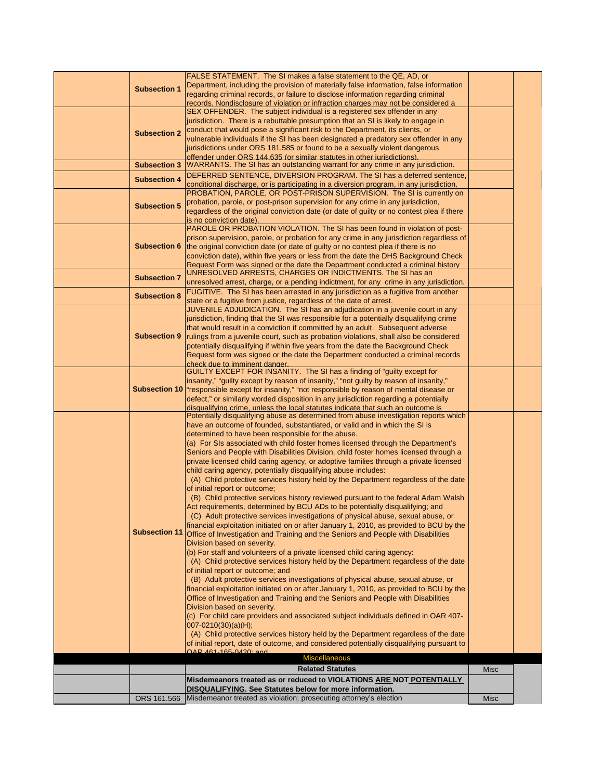|                     | FALSE STATEMENT. The SI makes a false statement to the QE, AD, or                                                                                                       |             |  |
|---------------------|-------------------------------------------------------------------------------------------------------------------------------------------------------------------------|-------------|--|
| <b>Subsection 1</b> | Department, including the provision of materially false information, false information                                                                                  |             |  |
|                     | regarding criminal records, or failure to disclose information regarding criminal                                                                                       |             |  |
|                     | records. Nondisclosure of violation or infraction charges may not be considered a                                                                                       |             |  |
|                     | SEX OFFENDER. The subject individual is a registered sex offender in any                                                                                                |             |  |
|                     | jurisdiction. There is a rebuttable presumption that an SI is likely to engage in                                                                                       |             |  |
| <b>Subsection 2</b> | conduct that would pose a significant risk to the Department, its clients, or                                                                                           |             |  |
|                     | vulnerable individuals if the SI has been designated a predatory sex offender in any                                                                                    |             |  |
|                     | jurisdictions under ORS 181.585 or found to be a sexually violent dangerous                                                                                             |             |  |
|                     | offender under ORS 144.635 (or similar statutes in other jurisdictions).<br>WARRANTS. The SI has an outstanding warrant for any crime in any jurisdiction.              |             |  |
| <b>Subsection 3</b> |                                                                                                                                                                         |             |  |
| <b>Subsection 4</b> | DEFERRED SENTENCE, DIVERSION PROGRAM. The SI has a deferred sentence,                                                                                                   |             |  |
|                     | conditional discharge, or is participating in a diversion program, in any jurisdiction.<br>PROBATION, PAROLE, OR POST-PRISON SUPERVISION. The SI is currently on        |             |  |
|                     | probation, parole, or post-prison supervision for any crime in any jurisdiction,                                                                                        |             |  |
| <b>Subsection 5</b> | regardless of the original conviction date (or date of guilty or no contest plea if there                                                                               |             |  |
|                     | is no conviction date).                                                                                                                                                 |             |  |
|                     | PAROLE OR PROBATION VIOLATION. The SI has been found in violation of post-                                                                                              |             |  |
|                     | prison supervision, parole, or probation for any crime in any jurisdiction regardless of                                                                                |             |  |
| <b>Subsection 6</b> | the original conviction date (or date of guilty or no contest plea if there is no                                                                                       |             |  |
|                     | conviction date), within five years or less from the date the DHS Background Check                                                                                      |             |  |
|                     | Request Form was signed or the date the Department conducted a criminal history                                                                                         |             |  |
| <b>Subsection 7</b> | UNRESOLVED ARRESTS, CHARGES OR INDICTMENTS. The SI has an                                                                                                               |             |  |
|                     | unresolved arrest, charge, or a pending indictment, for any crime in any jurisdiction.                                                                                  |             |  |
| <b>Subsection 8</b> | FUGITIVE. The SI has been arrested in any jurisdiction as a fugitive from another                                                                                       |             |  |
|                     | state or a fugitive from justice, regardless of the date of arrest.                                                                                                     |             |  |
|                     | JUVENILE ADJUDICATION. The SI has an adjudication in a juvenile court in any                                                                                            |             |  |
|                     | jurisdiction, finding that the SI was responsible for a potentially disqualifying crime                                                                                 |             |  |
| <b>Subsection 9</b> | that would result in a conviction if committed by an adult. Subsequent adverse<br>rulings from a juvenile court, such as probation violations, shall also be considered |             |  |
|                     | potentially disqualifying if within five years from the date the Background Check                                                                                       |             |  |
|                     | Request form was signed or the date the Department conducted a criminal records                                                                                         |             |  |
|                     | check due to imminent danger.                                                                                                                                           |             |  |
|                     | GUILTY EXCEPT FOR INSANITY. The SI has a finding of "guilty except for                                                                                                  |             |  |
|                     | insanity," "guilty except by reason of insanity," "not guilty by reason of insanity,"                                                                                   |             |  |
|                     | Subsection 10  "responsible except for insanity," "not responsible by reason of mental disease or                                                                       |             |  |
|                     | defect," or similarly worded disposition in any jurisdiction regarding a potentially                                                                                    |             |  |
|                     | disqualifying crime, unless the local statutes indicate that such an outcome is                                                                                         |             |  |
|                     | Potentially disqualifying abuse as determined from abuse investigation reports which                                                                                    |             |  |
|                     | have an outcome of founded, substantiated, or valid and in which the SI is                                                                                              |             |  |
|                     | determined to have been responsible for the abuse.<br>(a) For SIs associated with child foster homes licensed through the Department's                                  |             |  |
|                     | Seniors and People with Disabilities Division, child foster homes licensed through a                                                                                    |             |  |
|                     | private licensed child caring agency, or adoptive families through a private licensed                                                                                   |             |  |
|                     | child caring agency, potentially disqualifying abuse includes:                                                                                                          |             |  |
|                     | (A) Child protective services history held by the Department regardless of the date                                                                                     |             |  |
|                     | of initial report or outcome;                                                                                                                                           |             |  |
|                     | (B) Child protective services history reviewed pursuant to the federal Adam Walsh                                                                                       |             |  |
|                     | Act requirements, determined by BCU ADs to be potentially disqualifying; and                                                                                            |             |  |
|                     | (C) Adult protective services investigations of physical abuse, sexual abuse, or                                                                                        |             |  |
|                     | financial exploitation initiated on or after January 1, 2010, as provided to BCU by the                                                                                 |             |  |
|                     | Subsection 11 Office of Investigation and Training and the Seniors and People with Disabilities                                                                         |             |  |
|                     | Division based on severity.                                                                                                                                             |             |  |
|                     | (b) For staff and volunteers of a private licensed child caring agency:                                                                                                 |             |  |
|                     | (A) Child protective services history held by the Department regardless of the date                                                                                     |             |  |
|                     | of initial report or outcome; and<br>(B) Adult protective services investigations of physical abuse, sexual abuse, or                                                   |             |  |
|                     | financial exploitation initiated on or after January 1, 2010, as provided to BCU by the                                                                                 |             |  |
|                     | Office of Investigation and Training and the Seniors and People with Disabilities                                                                                       |             |  |
|                     | Division based on severity.                                                                                                                                             |             |  |
|                     | (c) For child care providers and associated subject individuals defined in OAR 407-                                                                                     |             |  |
|                     | $007 - 0210(30)(a)(H);$                                                                                                                                                 |             |  |
|                     | (A) Child protective services history held by the Department regardless of the date                                                                                     |             |  |
|                     | of initial report, date of outcome, and considered potentially disqualifying pursuant to                                                                                |             |  |
|                     | $\bigcap$ AD $161 - 165 - 0120$ and                                                                                                                                     |             |  |
|                     | <b>Miscellaneous</b>                                                                                                                                                    |             |  |
|                     | <b>Related Statutes</b>                                                                                                                                                 | Misc        |  |
|                     |                                                                                                                                                                         |             |  |
|                     | Misdemeanors treated as or reduced to VIOLATIONS ARE NOT POTENTIALLY                                                                                                    |             |  |
|                     | DISQUALIFYING. See Statutes below for more information.<br>ORS 161.566 Misdemeanor treated as violation; prosecuting attorney's election                                | <b>Misc</b> |  |